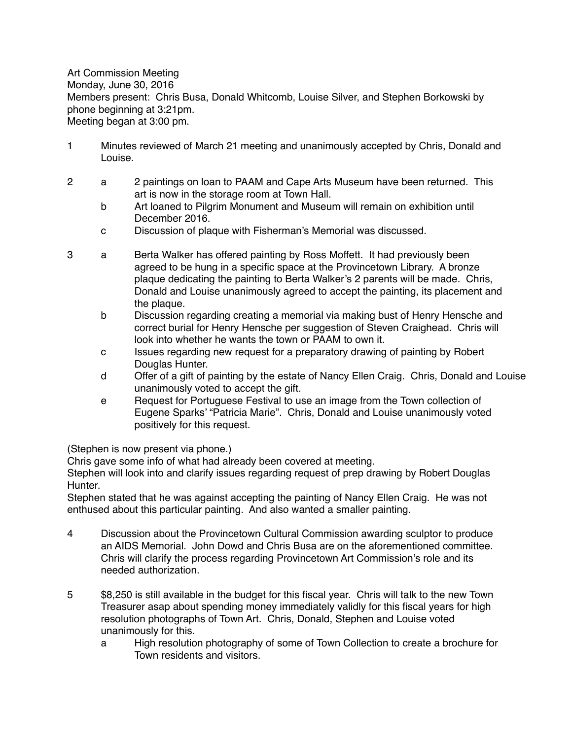Art Commission Meeting Monday, June 30, 2016 Members present: Chris Busa, Donald Whitcomb, Louise Silver, and Stephen Borkowski by phone beginning at 3:21pm. Meeting began at 3:00 pm.

- 1 Minutes reviewed of March 21 meeting and unanimously accepted by Chris, Donald and Louise.
- 2 a 2 paintings on loan to PAAM and Cape Arts Museum have been returned. This art is now in the storage room at Town Hall.
	- b Art loaned to Pilgrim Monument and Museum will remain on exhibition until December 2016.
	- c Discussion of plaque with Fisherman's Memorial was discussed.
- 3 a Berta Walker has offered painting by Ross Moffett. It had previously been agreed to be hung in a specific space at the Provincetown Library. A bronze plaque dedicating the painting to Berta Walker's 2 parents will be made. Chris, Donald and Louise unanimously agreed to accept the painting, its placement and the plaque.
	- b Discussion regarding creating a memorial via making bust of Henry Hensche and correct burial for Henry Hensche per suggestion of Steven Craighead. Chris will look into whether he wants the town or PAAM to own it.
	- c Issues regarding new request for a preparatory drawing of painting by Robert Douglas Hunter.
	- d Offer of a gift of painting by the estate of Nancy Ellen Craig. Chris, Donald and Louise unanimously voted to accept the gift.
	- e Request for Portuguese Festival to use an image from the Town collection of Eugene Sparks' "Patricia Marie". Chris, Donald and Louise unanimously voted positively for this request.

(Stephen is now present via phone.)

Chris gave some info of what had already been covered at meeting.

Stephen will look into and clarify issues regarding request of prep drawing by Robert Douglas Hunter.

Stephen stated that he was against accepting the painting of Nancy Ellen Craig. He was not enthused about this particular painting. And also wanted a smaller painting.

- 4 Discussion about the Provincetown Cultural Commission awarding sculptor to produce an AIDS Memorial. John Dowd and Chris Busa are on the aforementioned committee. Chris will clarify the process regarding Provincetown Art Commission's role and its needed authorization.
- 5 \$8,250 is still available in the budget for this fiscal year. Chris will talk to the new Town Treasurer asap about spending money immediately validly for this fiscal years for high resolution photographs of Town Art. Chris, Donald, Stephen and Louise voted unanimously for this.
	- a High resolution photography of some of Town Collection to create a brochure for Town residents and visitors.